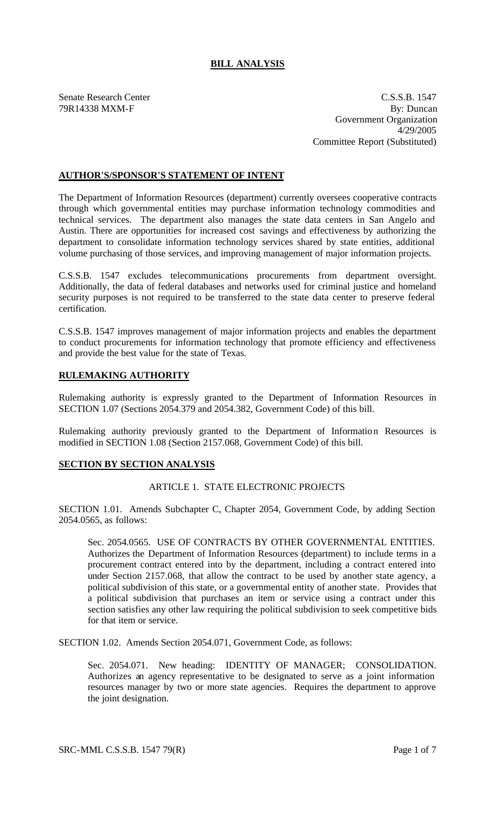# **BILL ANALYSIS**

Senate Research Center C.S.S.B. 1547 79R14338 MXM-F By: Duncan Government Organization 4/29/2005 Committee Report (Substituted)

## **AUTHOR'S/SPONSOR'S STATEMENT OF INTENT**

The Department of Information Resources (department) currently oversees cooperative contracts through which governmental entities may purchase information technology commodities and technical services. The department also manages the state data centers in San Angelo and Austin. There are opportunities for increased cost savings and effectiveness by authorizing the department to consolidate information technology services shared by state entities, additional volume purchasing of those services, and improving management of major information projects.

C.S.S.B. 1547 excludes telecommunications procurements from department oversight. Additionally, the data of federal databases and networks used for criminal justice and homeland security purposes is not required to be transferred to the state data center to preserve federal certification.

C.S.S.B. 1547 improves management of major information projects and enables the department to conduct procurements for information technology that promote efficiency and effectiveness and provide the best value for the state of Texas.

## **RULEMAKING AUTHORITY**

Rulemaking authority is expressly granted to the Department of Information Resources in SECTION 1.07 (Sections 2054.379 and 2054.382, Government Code) of this bill.

Rulemaking authority previously granted to the Department of Information Resources is modified in SECTION 1.08 (Section 2157.068, Government Code) of this bill.

#### **SECTION BY SECTION ANALYSIS**

#### ARTICLE 1. STATE ELECTRONIC PROJECTS

SECTION 1.01. Amends Subchapter C, Chapter 2054, Government Code, by adding Section 2054.0565, as follows:

Sec. 2054.0565. USE OF CONTRACTS BY OTHER GOVERNMENTAL ENTITIES. Authorizes the Department of Information Resources (department) to include terms in a procurement contract entered into by the department, including a contract entered into under Section 2157.068, that allow the contract to be used by another state agency, a political subdivision of this state, or a governmental entity of another state. Provides that a political subdivision that purchases an item or service using a contract under this section satisfies any other law requiring the political subdivision to seek competitive bids for that item or service.

SECTION 1.02. Amends Section 2054.071, Government Code, as follows:

Sec. 2054.071. New heading: IDENTITY OF MANAGER; CONSOLIDATION. Authorizes an agency representative to be designated to serve as a joint information resources manager by two or more state agencies. Requires the department to approve the joint designation.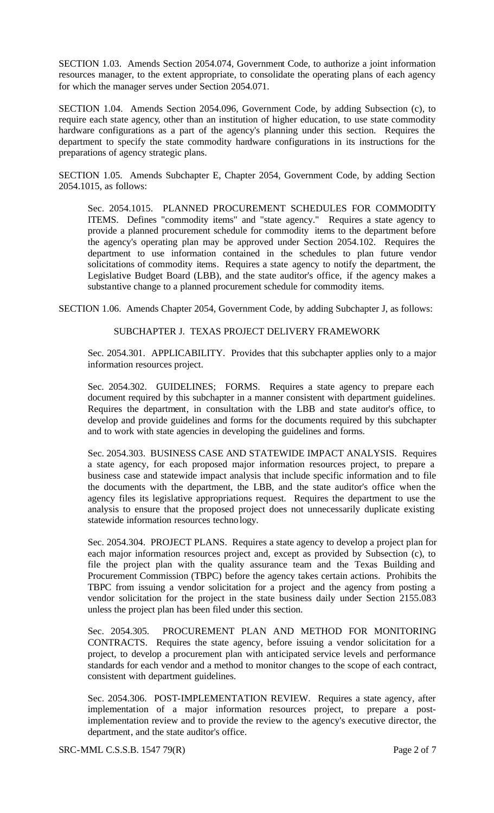SECTION 1.03. Amends Section 2054.074, Government Code, to authorize a joint information resources manager, to the extent appropriate, to consolidate the operating plans of each agency for which the manager serves under Section 2054.071.

SECTION 1.04. Amends Section 2054.096, Government Code, by adding Subsection (c), to require each state agency, other than an institution of higher education, to use state commodity hardware configurations as a part of the agency's planning under this section. Requires the department to specify the state commodity hardware configurations in its instructions for the preparations of agency strategic plans.

SECTION 1.05. Amends Subchapter E, Chapter 2054, Government Code, by adding Section 2054.1015, as follows:

Sec. 2054.1015. PLANNED PROCUREMENT SCHEDULES FOR COMMODITY ITEMS. Defines "commodity items" and "state agency." Requires a state agency to provide a planned procurement schedule for commodity items to the department before the agency's operating plan may be approved under Section 2054.102. Requires the department to use information contained in the schedules to plan future vendor solicitations of commodity items. Requires a state agency to notify the department, the Legislative Budget Board (LBB), and the state auditor's office, if the agency makes a substantive change to a planned procurement schedule for commodity items.

SECTION 1.06. Amends Chapter 2054, Government Code, by adding Subchapter J, as follows:

#### SUBCHAPTER J. TEXAS PROJECT DELIVERY FRAMEWORK

Sec. 2054.301. APPLICABILITY. Provides that this subchapter applies only to a major information resources project.

Sec. 2054.302. GUIDELINES; FORMS. Requires a state agency to prepare each document required by this subchapter in a manner consistent with department guidelines. Requires the department, in consultation with the LBB and state auditor's office, to develop and provide guidelines and forms for the documents required by this subchapter and to work with state agencies in developing the guidelines and forms.

Sec. 2054.303. BUSINESS CASE AND STATEWIDE IMPACT ANALYSIS. Requires a state agency, for each proposed major information resources project, to prepare a business case and statewide impact analysis that include specific information and to file the documents with the department, the LBB, and the state auditor's office when the agency files its legislative appropriations request. Requires the department to use the analysis to ensure that the proposed project does not unnecessarily duplicate existing statewide information resources technology.

Sec. 2054.304. PROJECT PLANS. Requires a state agency to develop a project plan for each major information resources project and, except as provided by Subsection (c), to file the project plan with the quality assurance team and the Texas Building and Procurement Commission (TBPC) before the agency takes certain actions. Prohibits the TBPC from issuing a vendor solicitation for a project and the agency from posting a vendor solicitation for the project in the state business daily under Section 2155.083 unless the project plan has been filed under this section.

Sec. 2054.305. PROCUREMENT PLAN AND METHOD FOR MONITORING CONTRACTS. Requires the state agency, before issuing a vendor solicitation for a project, to develop a procurement plan with anticipated service levels and performance standards for each vendor and a method to monitor changes to the scope of each contract, consistent with department guidelines.

Sec. 2054.306. POST-IMPLEMENTATION REVIEW. Requires a state agency, after implementation of a major information resources project, to prepare a postimplementation review and to provide the review to the agency's executive director, the department, and the state auditor's office.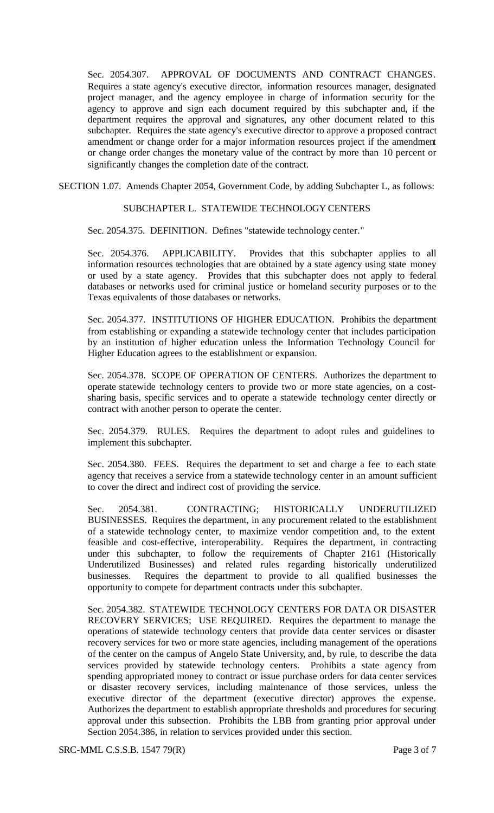Sec. 2054.307. APPROVAL OF DOCUMENTS AND CONTRACT CHANGES. Requires a state agency's executive director, information resources manager, designated project manager, and the agency employee in charge of information security for the agency to approve and sign each document required by this subchapter and, if the department requires the approval and signatures, any other document related to this subchapter. Requires the state agency's executive director to approve a proposed contract amendment or change order for a major information resources project if the amendment or change order changes the monetary value of the contract by more than 10 percent or significantly changes the completion date of the contract.

SECTION 1.07. Amends Chapter 2054, Government Code, by adding Subchapter L, as follows:

#### SUBCHAPTER L. STATEWIDE TECHNOLOGY CENTERS

Sec. 2054.375. DEFINITION. Defines "statewide technology center."

Sec. 2054.376. APPLICABILITY. Provides that this subchapter applies to all information resources technologies that are obtained by a state agency using state money or used by a state agency. Provides that this subchapter does not apply to federal databases or networks used for criminal justice or homeland security purposes or to the Texas equivalents of those databases or networks.

Sec. 2054.377. INSTITUTIONS OF HIGHER EDUCATION. Prohibits the department from establishing or expanding a statewide technology center that includes participation by an institution of higher education unless the Information Technology Council for Higher Education agrees to the establishment or expansion.

Sec. 2054.378. SCOPE OF OPERATION OF CENTERS. Authorizes the department to operate statewide technology centers to provide two or more state agencies, on a costsharing basis, specific services and to operate a statewide technology center directly or contract with another person to operate the center.

Sec. 2054.379. RULES. Requires the department to adopt rules and guidelines to implement this subchapter.

Sec. 2054.380. FEES. Requires the department to set and charge a fee to each state agency that receives a service from a statewide technology center in an amount sufficient to cover the direct and indirect cost of providing the service.

Sec. 2054.381. CONTRACTING; HISTORICALLY UNDERUTILIZED BUSINESSES. Requires the department, in any procurement related to the establishment of a statewide technology center, to maximize vendor competition and, to the extent feasible and cost-effective, interoperability. Requires the department, in contracting under this subchapter, to follow the requirements of Chapter 2161 (Historically Underutilized Businesses) and related rules regarding historically underutilized businesses. Requires the department to provide to all qualified businesses the opportunity to compete for department contracts under this subchapter.

Sec. 2054.382. STATEWIDE TECHNOLOGY CENTERS FOR DATA OR DISASTER RECOVERY SERVICES; USE REQUIRED. Requires the department to manage the operations of statewide technology centers that provide data center services or disaster recovery services for two or more state agencies, including management of the operations of the center on the campus of Angelo State University, and, by rule, to describe the data services provided by statewide technology centers. Prohibits a state agency from spending appropriated money to contract or issue purchase orders for data center services or disaster recovery services, including maintenance of those services, unless the executive director of the department (executive director) approves the expense. Authorizes the department to establish appropriate thresholds and procedures for securing approval under this subsection. Prohibits the LBB from granting prior approval under Section 2054.386, in relation to services provided under this section.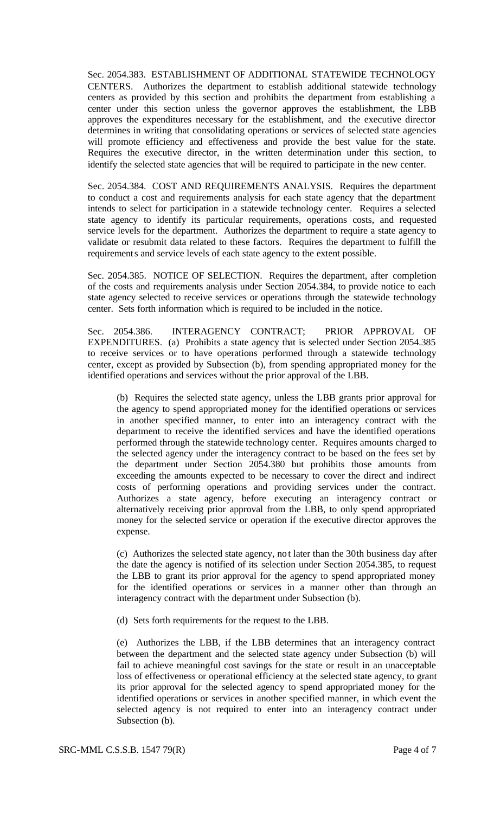Sec. 2054.383. ESTABLISHMENT OF ADDITIONAL STATEWIDE TECHNOLOGY CENTERS. Authorizes the department to establish additional statewide technology centers as provided by this section and prohibits the department from establishing a center under this section unless the governor approves the establishment, the LBB approves the expenditures necessary for the establishment, and the executive director determines in writing that consolidating operations or services of selected state agencies will promote efficiency and effectiveness and provide the best value for the state. Requires the executive director, in the written determination under this section, to identify the selected state agencies that will be required to participate in the new center.

Sec. 2054.384. COST AND REQUIREMENTS ANALYSIS. Requires the department to conduct a cost and requirements analysis for each state agency that the department intends to select for participation in a statewide technology center. Requires a selected state agency to identify its particular requirements, operations costs, and requested service levels for the department. Authorizes the department to require a state agency to validate or resubmit data related to these factors. Requires the department to fulfill the requirements and service levels of each state agency to the extent possible.

Sec. 2054.385. NOTICE OF SELECTION. Requires the department, after completion of the costs and requirements analysis under Section 2054.384, to provide notice to each state agency selected to receive services or operations through the statewide technology center. Sets forth information which is required to be included in the notice.

Sec. 2054.386. INTERAGENCY CONTRACT; PRIOR APPROVAL OF EXPENDITURES. (a) Prohibits a state agency that is selected under Section 2054.385 to receive services or to have operations performed through a statewide technology center, except as provided by Subsection (b), from spending appropriated money for the identified operations and services without the prior approval of the LBB.

(b) Requires the selected state agency, unless the LBB grants prior approval for the agency to spend appropriated money for the identified operations or services in another specified manner, to enter into an interagency contract with the department to receive the identified services and have the identified operations performed through the statewide technology center. Requires amounts charged to the selected agency under the interagency contract to be based on the fees set by the department under Section 2054.380 but prohibits those amounts from exceeding the amounts expected to be necessary to cover the direct and indirect costs of performing operations and providing services under the contract. Authorizes a state agency, before executing an interagency contract or alternatively receiving prior approval from the LBB, to only spend appropriated money for the selected service or operation if the executive director approves the expense.

(c) Authorizes the selected state agency, not later than the 30th business day after the date the agency is notified of its selection under Section 2054.385, to request the LBB to grant its prior approval for the agency to spend appropriated money for the identified operations or services in a manner other than through an interagency contract with the department under Subsection (b).

(d) Sets forth requirements for the request to the LBB.

(e) Authorizes the LBB, if the LBB determines that an interagency contract between the department and the selected state agency under Subsection (b) will fail to achieve meaningful cost savings for the state or result in an unacceptable loss of effectiveness or operational efficiency at the selected state agency, to grant its prior approval for the selected agency to spend appropriated money for the identified operations or services in another specified manner, in which event the selected agency is not required to enter into an interagency contract under Subsection (b).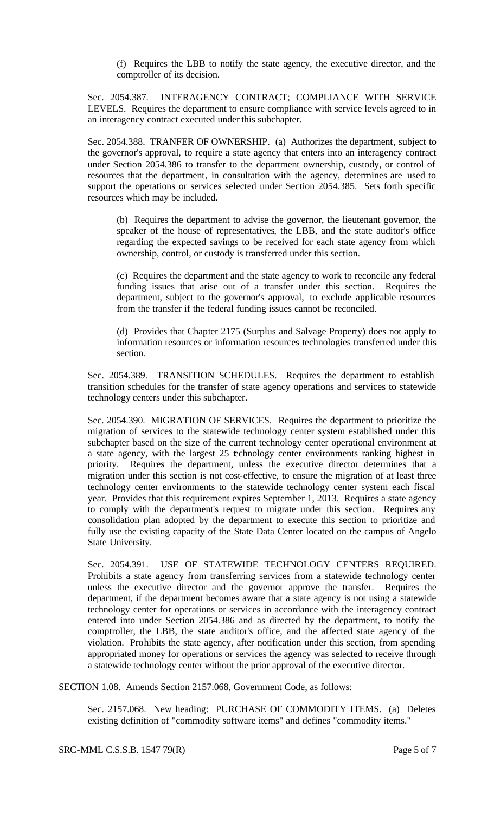(f) Requires the LBB to notify the state agency, the executive director, and the comptroller of its decision.

Sec. 2054.387. INTERAGENCY CONTRACT; COMPLIANCE WITH SERVICE LEVELS. Requires the department to ensure compliance with service levels agreed to in an interagency contract executed under this subchapter.

Sec. 2054.388. TRANFER OF OWNERSHIP. (a) Authorizes the department, subject to the governor's approval, to require a state agency that enters into an interagency contract under Section 2054.386 to transfer to the department ownership, custody, or control of resources that the department, in consultation with the agency, determines are used to support the operations or services selected under Section 2054.385. Sets forth specific resources which may be included.

(b) Requires the department to advise the governor, the lieutenant governor, the speaker of the house of representatives, the LBB, and the state auditor's office regarding the expected savings to be received for each state agency from which ownership, control, or custody is transferred under this section.

(c) Requires the department and the state agency to work to reconcile any federal funding issues that arise out of a transfer under this section. Requires the department, subject to the governor's approval, to exclude applicable resources from the transfer if the federal funding issues cannot be reconciled.

(d) Provides that Chapter 2175 (Surplus and Salvage Property) does not apply to information resources or information resources technologies transferred under this section.

Sec. 2054.389. TRANSITION SCHEDULES. Requires the department to establish transition schedules for the transfer of state agency operations and services to statewide technology centers under this subchapter.

Sec. 2054.390. MIGRATION OF SERVICES. Requires the department to prioritize the migration of services to the statewide technology center system established under this subchapter based on the size of the current technology center operational environment at a state agency, with the largest 25 technology center environments ranking highest in priority. Requires the department, unless the executive director determines that a migration under this section is not cost-effective, to ensure the migration of at least three technology center environments to the statewide technology center system each fiscal year. Provides that this requirement expires September 1, 2013. Requires a state agency to comply with the department's request to migrate under this section. Requires any consolidation plan adopted by the department to execute this section to prioritize and fully use the existing capacity of the State Data Center located on the campus of Angelo State University.

Sec. 2054.391. USE OF STATEWIDE TECHNOLOGY CENTERS REQUIRED. Prohibits a state agency from transferring services from a statewide technology center unless the executive director and the governor approve the transfer. Requires the department, if the department becomes aware that a state agency is not using a statewide technology center for operations or services in accordance with the interagency contract entered into under Section 2054.386 and as directed by the department, to notify the comptroller, the LBB, the state auditor's office, and the affected state agency of the violation. Prohibits the state agency, after notification under this section, from spending appropriated money for operations or services the agency was selected to receive through a statewide technology center without the prior approval of the executive director.

SECTION 1.08. Amends Section 2157.068, Government Code, as follows:

Sec. 2157.068. New heading: PURCHASE OF COMMODITY ITEMS. (a) Deletes existing definition of "commodity software items" and defines "commodity items."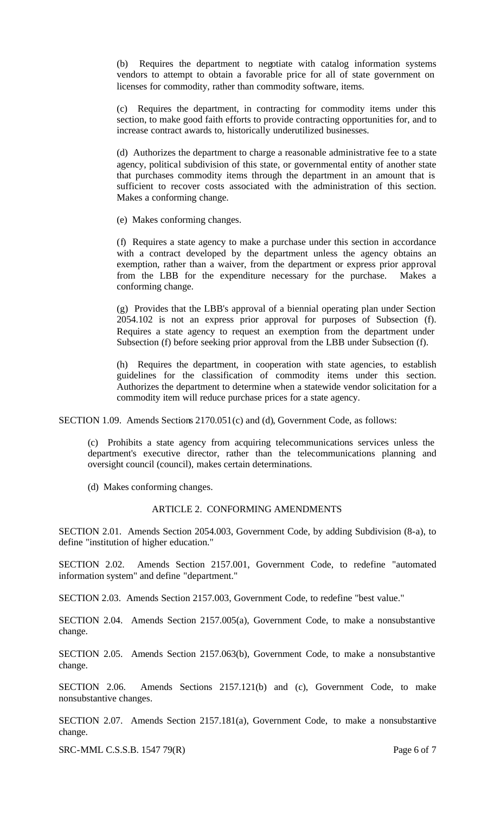(b) Requires the department to negotiate with catalog information systems vendors to attempt to obtain a favorable price for all of state government on licenses for commodity, rather than commodity software, items.

(c) Requires the department, in contracting for commodity items under this section, to make good faith efforts to provide contracting opportunities for, and to increase contract awards to, historically underutilized businesses.

(d) Authorizes the department to charge a reasonable administrative fee to a state agency, political subdivision of this state, or governmental entity of another state that purchases commodity items through the department in an amount that is sufficient to recover costs associated with the administration of this section. Makes a conforming change.

(e) Makes conforming changes.

(f) Requires a state agency to make a purchase under this section in accordance with a contract developed by the department unless the agency obtains an exemption, rather than a waiver, from the department or express prior approval from the LBB for the expenditure necessary for the purchase. Makes a conforming change.

(g) Provides that the LBB's approval of a biennial operating plan under Section 2054.102 is not an express prior approval for purposes of Subsection (f). Requires a state agency to request an exemption from the department under Subsection (f) before seeking prior approval from the LBB under Subsection (f).

(h) Requires the department, in cooperation with state agencies, to establish guidelines for the classification of commodity items under this section. Authorizes the department to determine when a statewide vendor solicitation for a commodity item will reduce purchase prices for a state agency.

SECTION 1.09. Amends Sections 2170.051(c) and (d), Government Code, as follows:

(c) Prohibits a state agency from acquiring telecommunications services unless the department's executive director, rather than the telecommunications planning and oversight council (council), makes certain determinations.

(d) Makes conforming changes.

## ARTICLE 2. CONFORMING AMENDMENTS

SECTION 2.01. Amends Section 2054.003, Government Code, by adding Subdivision (8-a), to define "institution of higher education."

SECTION 2.02. Amends Section 2157.001, Government Code, to redefine "automated information system" and define "department."

SECTION 2.03. Amends Section 2157.003, Government Code, to redefine "best value."

SECTION 2.04. Amends Section 2157.005(a), Government Code, to make a nonsubstantive change.

SECTION 2.05. Amends Section 2157.063(b), Government Code, to make a nonsubstantive change.

SECTION 2.06. Amends Sections 2157.121(b) and (c), Government Code, to make nonsubstantive changes.

SECTION 2.07. Amends Section 2157.181(a), Government Code, to make a nonsubstantive change.

SRC-MML C.S.S.B. 1547 79(R) Page 6 of 7